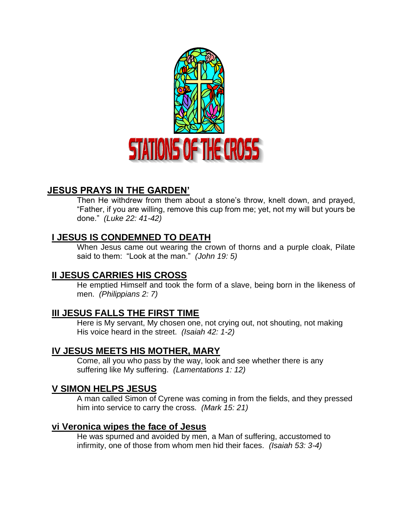

# **JESUS PRAYS IN THE GARDEN'**

Then He withdrew from them about a stone's throw, knelt down, and prayed, "Father, if you are willing, remove this cup from me; yet, not my will but yours be done." *(Luke 22: 41-42)*

# **I JESUS IS CONDEMNED TO DEATH**

When Jesus came out wearing the crown of thorns and a purple cloak, Pilate said to them: "Look at the man." *(John 19: 5)*

# **II JESUS CARRIES HIS CROSS**

He emptied Himself and took the form of a slave, being born in the likeness of men. *(Philippians 2: 7)*

# **III JESUS FALLS THE FIRST TIME**

Here is My servant, My chosen one, not crying out, not shouting, not making His voice heard in the street. *(Isaiah 42: 1-2)*

# **IV JESUS MEETS HIS MOTHER, MARY**

Come, all you who pass by the way, look and see whether there is any suffering like My suffering. *(Lamentations 1: 12)*

# **V SIMON HELPS JESUS**

A man called Simon of Cyrene was coming in from the fields, and they pressed him into service to carry the cross. *(Mark 15: 21)*

### **vi Veronica wipes the face of Jesus**

He was spurned and avoided by men, a Man of suffering, accustomed to infirmity, one of those from whom men hid their faces. *(Isaiah 53: 3-4)*